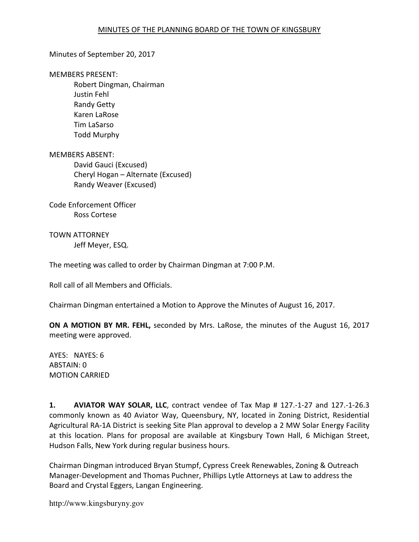#### Minutes of September 20, 2017

#### MEMBERS PRESENT:

Robert Dingman, Chairman Justin Fehl Randy Getty Karen LaRose Tim LaSarso Todd Murphy

MEMBERS ABSENT: David Gauci (Excused) Cheryl Hogan – Alternate (Excused) Randy Weaver (Excused)

Code Enforcement Officer Ross Cortese

TOWN ATTORNEY Jeff Meyer, ESQ.

The meeting was called to order by Chairman Dingman at 7:00 P.M.

Roll call of all Members and Officials.

Chairman Dingman entertained a Motion to Approve the Minutes of August 16, 2017.

ON A MOTION BY MR. FEHL, seconded by Mrs. LaRose, the minutes of the August 16, 2017 meeting were approved.

AYES: NAYES: 6 ABSTAIN: 0 MOTION CARRIED

1. AVIATOR WAY SOLAR, LLC, contract vendee of Tax Map # 127.-1-27 and 127.-1-26.3 commonly known as 40 Aviator Way, Queensbury, NY, located in Zoning District, Residential Agricultural RA-1A District is seeking Site Plan approval to develop a 2 MW Solar Energy Facility at this location. Plans for proposal are available at Kingsbury Town Hall, 6 Michigan Street, Hudson Falls, New York during regular business hours.

Chairman Dingman introduced Bryan Stumpf, Cypress Creek Renewables, Zoning & Outreach Manager-Development and Thomas Puchner, Phillips Lytle Attorneys at Law to address the Board and Crystal Eggers, Langan Engineering.

http://www.kingsburyny.gov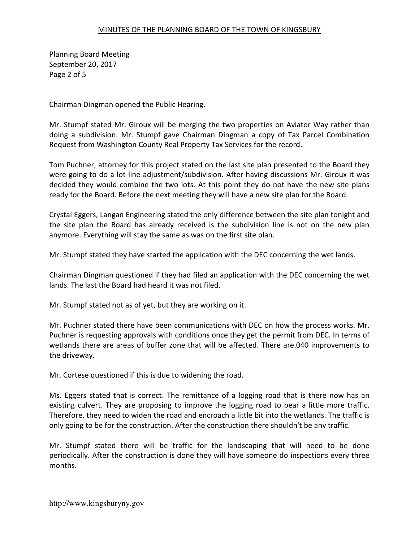Planning Board Meeting September 20, 2017 Page 2 of 5

Chairman Dingman opened the Public Hearing.

Mr. Stumpf stated Mr. Giroux will be merging the two properties on Aviator Way rather than doing a subdivision. Mr. Stumpf gave Chairman Dingman a copy of Tax Parcel Combination Request from Washington County Real Property Tax Services for the record.

Tom Puchner, attorney for this project stated on the last site plan presented to the Board they were going to do a lot line adjustment/subdivision. After having discussions Mr. Giroux it was decided they would combine the two lots. At this point they do not have the new site plans ready for the Board. Before the next meeting they will have a new site plan for the Board.

Crystal Eggers, Langan Engineering stated the only difference between the site plan tonight and the site plan the Board has already received is the subdivision line is not on the new plan anymore. Everything will stay the same as was on the first site plan.

Mr. Stumpf stated they have started the application with the DEC concerning the wet lands.

Chairman Dingman questioned if they had filed an application with the DEC concerning the wet lands. The last the Board had heard it was not filed.

Mr. Stumpf stated not as of yet, but they are working on it.

Mr. Puchner stated there have been communications with DEC on how the process works. Mr. Puchner is requesting approvals with conditions once they get the permit from DEC. In terms of wetlands there are areas of buffer zone that will be affected. There are.040 improvements to the driveway.

Mr. Cortese questioned if this is due to widening the road.

Ms. Eggers stated that is correct. The remittance of a logging road that is there now has an existing culvert. They are proposing to improve the logging road to bear a little more traffic. Therefore, they need to widen the road and encroach a little bit into the wetlands. The traffic is only going to be for the construction. After the construction there shouldn't be any traffic.

Mr. Stumpf stated there will be traffic for the landscaping that will need to be done periodically. After the construction is done they will have someone do inspections every three months.

http://www.kingsburyny.gov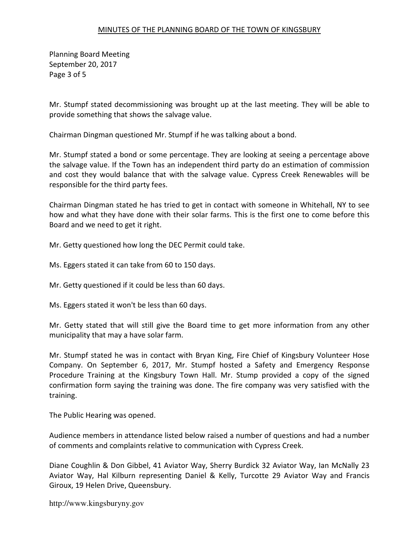Planning Board Meeting September 20, 2017 Page 3 of 5

Mr. Stumpf stated decommissioning was brought up at the last meeting. They will be able to provide something that shows the salvage value.

Chairman Dingman questioned Mr. Stumpf if he was talking about a bond.

Mr. Stumpf stated a bond or some percentage. They are looking at seeing a percentage above the salvage value. If the Town has an independent third party do an estimation of commission and cost they would balance that with the salvage value. Cypress Creek Renewables will be responsible for the third party fees.

Chairman Dingman stated he has tried to get in contact with someone in Whitehall, NY to see how and what they have done with their solar farms. This is the first one to come before this Board and we need to get it right.

Mr. Getty questioned how long the DEC Permit could take.

Ms. Eggers stated it can take from 60 to 150 days.

Mr. Getty questioned if it could be less than 60 days.

Ms. Eggers stated it won't be less than 60 days.

Mr. Getty stated that will still give the Board time to get more information from any other municipality that may a have solar farm.

Mr. Stumpf stated he was in contact with Bryan King, Fire Chief of Kingsbury Volunteer Hose Company. On September 6, 2017, Mr. Stumpf hosted a Safety and Emergency Response Procedure Training at the Kingsbury Town Hall. Mr. Stump provided a copy of the signed confirmation form saying the training was done. The fire company was very satisfied with the training.

The Public Hearing was opened.

Audience members in attendance listed below raised a number of questions and had a number of comments and complaints relative to communication with Cypress Creek.

Diane Coughlin & Don Gibbel, 41 Aviator Way, Sherry Burdick 32 Aviator Way, Ian McNally 23 Aviator Way, Hal Kilburn representing Daniel & Kelly, Turcotte 29 Aviator Way and Francis Giroux, 19 Helen Drive, Queensbury.

http://www.kingsburyny.gov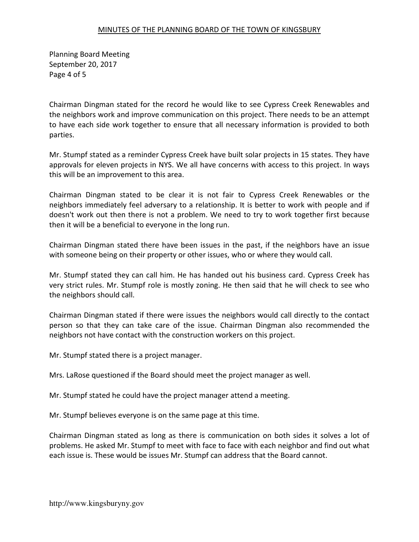Planning Board Meeting September 20, 2017 Page 4 of 5

Chairman Dingman stated for the record he would like to see Cypress Creek Renewables and the neighbors work and improve communication on this project. There needs to be an attempt to have each side work together to ensure that all necessary information is provided to both parties.

Mr. Stumpf stated as a reminder Cypress Creek have built solar projects in 15 states. They have approvals for eleven projects in NYS. We all have concerns with access to this project. In ways this will be an improvement to this area.

Chairman Dingman stated to be clear it is not fair to Cypress Creek Renewables or the neighbors immediately feel adversary to a relationship. It is better to work with people and if doesn't work out then there is not a problem. We need to try to work together first because then it will be a beneficial to everyone in the long run.

Chairman Dingman stated there have been issues in the past, if the neighbors have an issue with someone being on their property or other issues, who or where they would call.

Mr. Stumpf stated they can call him. He has handed out his business card. Cypress Creek has very strict rules. Mr. Stumpf role is mostly zoning. He then said that he will check to see who the neighbors should call.

Chairman Dingman stated if there were issues the neighbors would call directly to the contact person so that they can take care of the issue. Chairman Dingman also recommended the neighbors not have contact with the construction workers on this project.

Mr. Stumpf stated there is a project manager.

Mrs. LaRose questioned if the Board should meet the project manager as well.

Mr. Stumpf stated he could have the project manager attend a meeting.

Mr. Stumpf believes everyone is on the same page at this time.

Chairman Dingman stated as long as there is communication on both sides it solves a lot of problems. He asked Mr. Stumpf to meet with face to face with each neighbor and find out what each issue is. These would be issues Mr. Stumpf can address that the Board cannot.